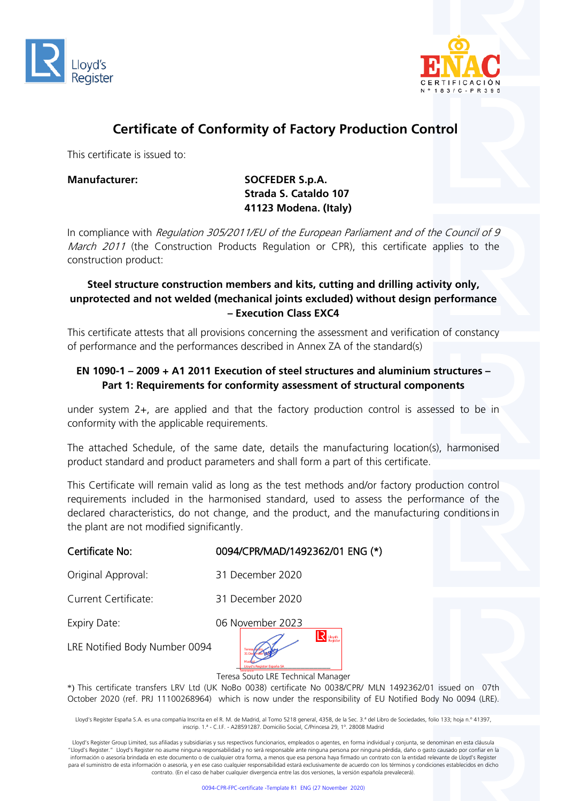



## **Certificate of Conformity of Factory Production Control**

This certificate is issued to:

## Manufacturer: SOCFEDER S.p.A. **Strada S. Cataldo 107 41123 Modena. (Italy)**

In compliance with Regulation 305/2011/EU of the European Parliament and of the Council of 9 March 2011 (the Construction Products Regulation or CPR), this certificate applies to the construction product:

### **Steel structure construction members and kits, cutting and drilling activity only, unprotected and not welded (mechanical joints excluded) without design performance – Execution Class EXC4**

This certificate attests that all provisions concerning the assessment and verification of constancy of performance and the performances described in Annex ZA of the standard(s)

## **EN 1090-1 – 2009 + A1 2011 Execution of steel structures and aluminium structures – Part 1: Requirements for conformity assessment of structural components**

under system 2+, are applied and that the factory production control is assessed to be in conformity with the applicable requirements.

The attached Schedule, of the same date, details the manufacturing location(s), harmonised product standard and product parameters and shall form a part of this certificate.

This Certificate will remain valid as long as the test methods and/or factory production control requirements included in the harmonised standard, used to assess the performance of the declared characteristics, do not change, and the product, and the manufacturing conditionsin the plant are not modified significantly.

#### Certificate No: 0094/CPR/MAD/1492362/01 ENG (\*)

Original Approval: 31 December 2020

Current Certificate: 31 December 2020



LRE Notified Body Number 0094



Teresa Souto LRE Technical Manager

\*) This certificate transfers LRV Ltd (UK NoBo 0038) certificate No 0038/CPR/ MLN 1492362/01 issued on 07th October 2020 (ref. PRJ 11100268964) which is now under the responsibility of EU Notified Body No 0094 (LRE).

Lloyd's Register España S.A. es una compañía Inscrita en el R. M. de Madrid, al Tomo 5218 general, 4358, de la Sec. 3.ª del Libro de Sociedades, folio 133; hoja n.º 41397, inscrip. 1.ª - C.I.F. - A28591287. Domicilio Social, C/Princesa 29, 1º. 28008 Madrid

Lloyd's Register Group Limited, sus afiliadas y subsidiarias y sus respectivos funcionarios, empleados o agentes, en forma individual y conjunta, se denominan en esta cláusula "Lloyd's Register." Lloyd's Register no asume ninguna responsabilidad y no será responsable ante ninguna persona por ninguna pérdida, daño o gasto causado por confiar en la información o asesoría brindada en este documento o de cualquier otra forma, a menos que esa persona haya firmado un contrato con la entidad relevante de Lloyd's Register para el suministro de esta información o asesoría, y en ese caso cualquier responsabilidad estará exclusivamente de acuerdo con los términos y condiciones establecidos en dicho contrato. (En el caso de haber cualquier divergencia entre las dos versiones, la versión española prevalecerá).